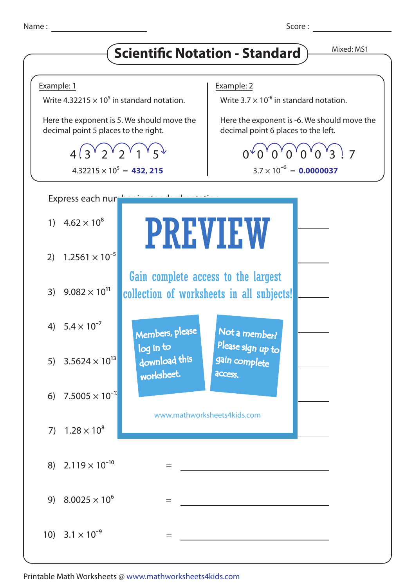Name : Score : Score : Score : Score : Score : Score : Score : Score : Score : Score : Score : Score : Score : Score : Score : Score : Score : Score : Score : Score : Score : Score : Score : Score : Score : Score : Score :

## **Scientific Notation - Standard** Mixed: MS1



Printable Math Worksheets @ www.mathworksheets4kids.com